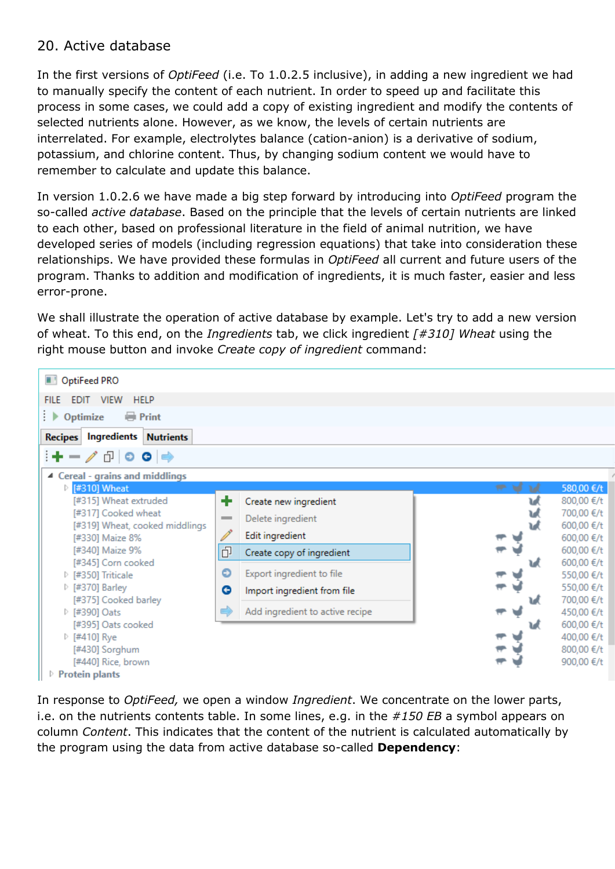## 20. Active database

In the first versions of *OptiFeed* (i.e. To 1.0.2.5 inclusive), in adding a new ingredient we had to manually specify the content of each nutrient. In order to speed up and facilitate this process in some cases, we could add a copy of existing ingredient and modify the contents of selected nutrients alone. However, as we know, the levels of certain nutrients are interrelated. For example, electrolytes balance (cation-anion) is a derivative of sodium, potassium, and chlorine content. Thus, by changing sodium content we would have to remember to calculate and update this balance.

In version 1.0.2.6 we have made a big step forward by introducing into *OptiFeed* program the so-called *active database*. Based on the principle that the levels of certain nutrients are linked to each other, based on professional literature in the field of animal nutrition, we have developed series of models (including regression equations) that take into consideration these relationships. We have provided these formulas in *OptiFeed* all current and future users of the program. Thanks to addition and modification of ingredients, it is much faster, easier and less error-prone.

We shall illustrate the operation of active database by example. Let's try to add a new version of wheat. To this end, on the *Ingredients* tab, we click ingredient *[#310] Wheat* using the right mouse button and invoke *Create copy of ingredient* command:



In response to *OptiFeed,* we open a window *Ingredient*. We concentrate on the lower parts, i.e. on the nutrients contents table. In some lines, e.g. in the *#150 EB* a symbol appears on column *Content*. This indicates that the content of the nutrient is calculated automatically by the program using the data from active database so-called **Dependency**: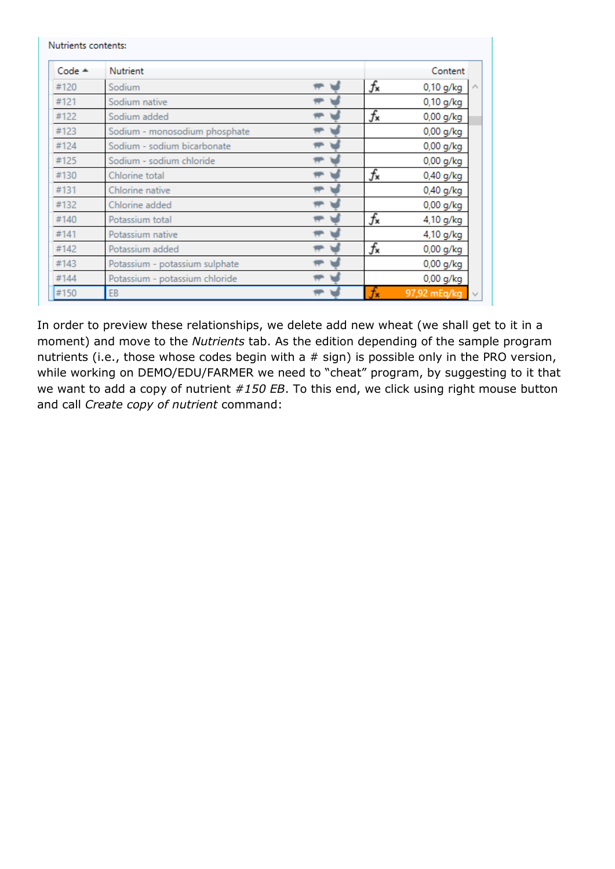| $Code -$ | Nutrient                       |                  | Content                |
|----------|--------------------------------|------------------|------------------------|
| #120     | Sodium                         | $f_{\mathbf{x}}$ | $0,10$ g/kg<br>$\land$ |
| #121     | Sodium native                  |                  | 0,10 g/kg              |
| #122     | Sodium added                   | $f_{\mathbf{x}}$ | 0,00 g/kg              |
| #123     | Sodium - monosodium phosphate  |                  | $0,00$ g/kg            |
| #124     | Sodium - sodium bicarbonate    |                  | $0,00$ g/kg            |
| #125     | Sodium - sodium chloride       |                  | $0,00$ g/kg            |
| #130     | Chlorine total                 | $f_{\mathbf{x}}$ | $0,40$ g/kg            |
| #131     | Chlorine native                |                  | $0,40$ g/kg            |
| #132     | Chlorine added                 |                  | $0,00$ g/kg            |
| #140     | Potassium total                | $f_{\mathbf{x}}$ | 4,10 g/kg              |
| #141     | Potassium native               |                  | 4,10 g/kg              |
| #142     | Potassium added                | $f_{\mathbf{x}}$ | $0,00$ g/kg            |
| #143     | Potassium - potassium sulphate |                  | $0,00$ g/kg            |
| #144     | Potassium - potassium chloride |                  | $0,00$ g/kg            |
| #150     | EB                             |                  | 97,92 mEq/kg<br>$\sim$ |

In order to preview these relationships, we delete add new wheat (we shall get to it in a moment) and move to the *Nutrients* tab. As the edition depending of the sample program nutrients (i.e., those whose codes begin with a  $#$  sign) is possible only in the PRO version, while working on DEMO/EDU/FARMER we need to "cheat" program, by suggesting to it that we want to add a copy of nutrient *#150 EB*. To this end, we click using right mouse button and call *Create copy of nutrient* command: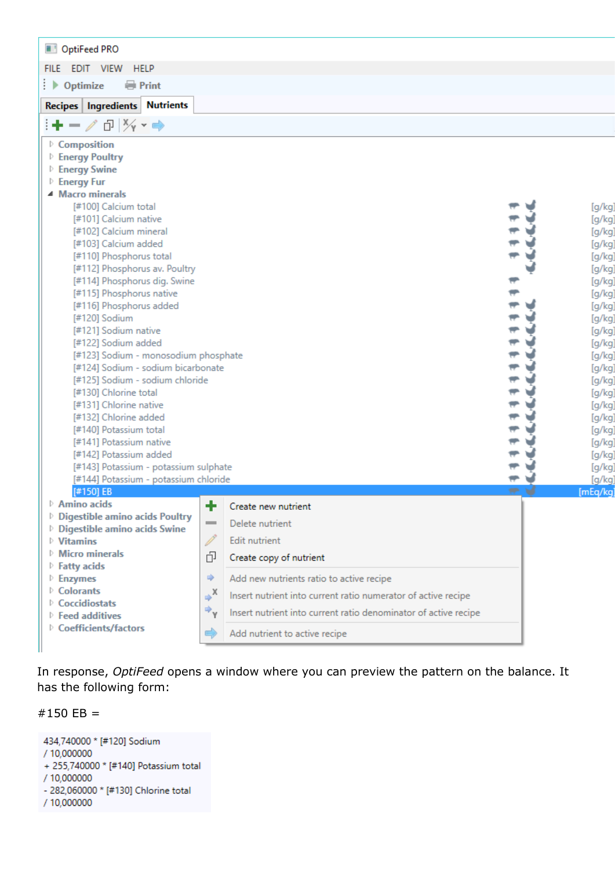| OptiFeed PRO                                                                                                                                                                                                                                                                                                                                                                                                                                                                                                                                                                                                                                                                                                                                                                                                             |                   |                                                                 |            |                                                                                                                                                                                                                                                |
|--------------------------------------------------------------------------------------------------------------------------------------------------------------------------------------------------------------------------------------------------------------------------------------------------------------------------------------------------------------------------------------------------------------------------------------------------------------------------------------------------------------------------------------------------------------------------------------------------------------------------------------------------------------------------------------------------------------------------------------------------------------------------------------------------------------------------|-------------------|-----------------------------------------------------------------|------------|------------------------------------------------------------------------------------------------------------------------------------------------------------------------------------------------------------------------------------------------|
| EDIT VIEW<br><b>HELP</b><br><b>FILE</b>                                                                                                                                                                                                                                                                                                                                                                                                                                                                                                                                                                                                                                                                                                                                                                                  |                   |                                                                 |            |                                                                                                                                                                                                                                                |
| ⊧ Þ<br>Optimize<br><b>Print</b>                                                                                                                                                                                                                                                                                                                                                                                                                                                                                                                                                                                                                                                                                                                                                                                          |                   |                                                                 |            |                                                                                                                                                                                                                                                |
| <b>Nutrients</b><br>Recipes   Ingredients                                                                                                                                                                                                                                                                                                                                                                                                                                                                                                                                                                                                                                                                                                                                                                                |                   |                                                                 |            |                                                                                                                                                                                                                                                |
| і+−∥ ∂∣¼ <sub>*</sub> ⇒                                                                                                                                                                                                                                                                                                                                                                                                                                                                                                                                                                                                                                                                                                                                                                                                  |                   |                                                                 |            |                                                                                                                                                                                                                                                |
| ▷ Composition<br><b>Energy Poultry</b><br><b>Energy Swine</b><br><b>Energy Fur</b><br>▲ Macro minerals<br>[#100] Calcium total<br>[#101] Calcium native<br>[#102] Calcium mineral<br>[#103] Calcium added<br>[#110] Phosphorus total<br>[#112] Phosphorus av. Poultry<br>[#114] Phosphorus dig. Swine<br>[#115] Phosphorus native<br>[#116] Phosphorus added<br>[#120] Sodium<br>[#121] Sodium native<br>[#122] Sodium added<br>[#123] Sodium - monosodium phosphate<br>[#124] Sodium - sodium bicarbonate<br>[#125] Sodium - sodium chloride<br>[#130] Chlorine total<br>[#131] Chlorine native<br>[#132] Chlorine added<br>[#140] Potassium total<br>[#141] Potassium native<br>[#142] Potassium added<br>[#143] Potassium - potassium sulphate<br>[#144] Potassium - potassium chloride<br>$[#150]$ EB<br>Amino acids | ÷                 | Create new nutrient                                             | <b>SP-</b> | [g/kg]<br>[g/kg]<br>[g/kg]<br>[g/kg]<br>[g/kg]<br>[g/kg]<br>[g/kg]<br>[g/kg]<br>[g/kg]<br>[g/kg]<br>[g/kg]<br>[g/kg]<br>[g/kg]<br>[g/kg]<br>[g/kg]<br>[g/kg]<br>[g/kg]<br>[g/kg]<br>[g/kg]<br>[g/kg]<br>[g/kg]<br>[g/kg]<br>[g/kg]<br>[mEq/kg] |
| <b>Digestible amino acids Poultry</b><br><b>Digestible amino acids Swine</b>                                                                                                                                                                                                                                                                                                                                                                                                                                                                                                                                                                                                                                                                                                                                             | $\equiv$          | Delete nutrient                                                 |            |                                                                                                                                                                                                                                                |
| $\triangleright$ Vitamins                                                                                                                                                                                                                                                                                                                                                                                                                                                                                                                                                                                                                                                                                                                                                                                                | Ï                 | <b>Edit nutrient</b>                                            |            |                                                                                                                                                                                                                                                |
| $\triangleright$ Micro minerals                                                                                                                                                                                                                                                                                                                                                                                                                                                                                                                                                                                                                                                                                                                                                                                          | ó                 | Create copy of nutrient                                         |            |                                                                                                                                                                                                                                                |
| <b>Fatty acids</b><br>$\triangleright$ Enzymes                                                                                                                                                                                                                                                                                                                                                                                                                                                                                                                                                                                                                                                                                                                                                                           | ⋫                 | Add new nutrients ratio to active recipe                        |            |                                                                                                                                                                                                                                                |
| ▷ Colorants                                                                                                                                                                                                                                                                                                                                                                                                                                                                                                                                                                                                                                                                                                                                                                                                              | $\Rightarrow$ $x$ | Insert nutrient into current ratio numerator of active recipe   |            |                                                                                                                                                                                                                                                |
| ▷ Coccidiostats                                                                                                                                                                                                                                                                                                                                                                                                                                                                                                                                                                                                                                                                                                                                                                                                          |                   |                                                                 |            |                                                                                                                                                                                                                                                |
| $\triangleright$ Feed additives                                                                                                                                                                                                                                                                                                                                                                                                                                                                                                                                                                                                                                                                                                                                                                                          | ⇒,                | Insert nutrient into current ratio denominator of active recipe |            |                                                                                                                                                                                                                                                |
| ▷ Coefficients/factors                                                                                                                                                                                                                                                                                                                                                                                                                                                                                                                                                                                                                                                                                                                                                                                                   | ➡                 | Add nutrient to active recipe                                   |            |                                                                                                                                                                                                                                                |

In response, *OptiFeed* opens a window where you can preview the pattern on the balance. It has the following form:

#150 EB =

434,740000 \* [#120] Sodium / 10,000000 + 255,740000 \* [#140] Potassium total / 10,000000 - 282,060000 \* [#130] Chlorine total / 10,000000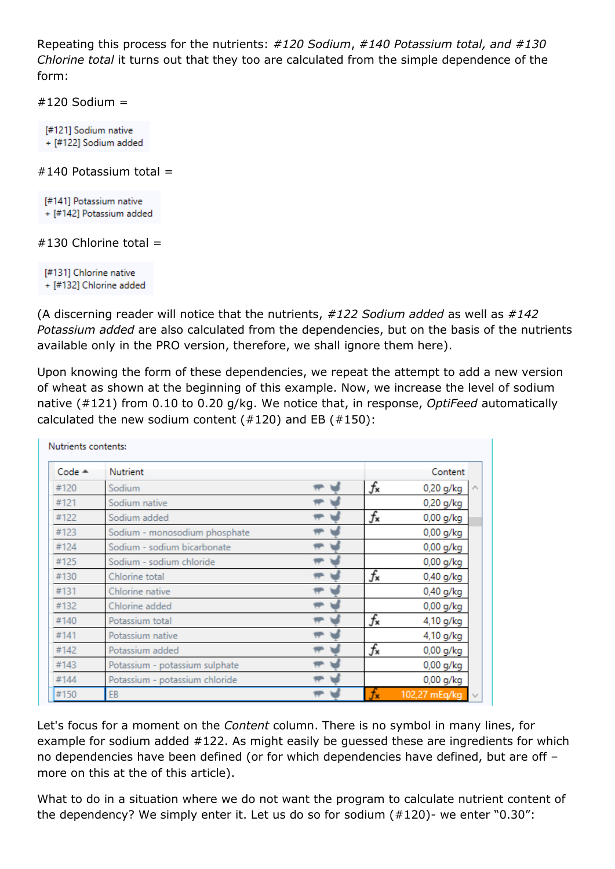Repeating this process for the nutrients: *#120 Sodium*, *#140 Potassium total, and #130 Chlorine total* it turns out that they too are calculated from the simple dependence of the form:

 $#120$  Sodium =

[#121] Sodium native + [#122] Sodium added

 $#140$  Potassium total  $=$ 

[#141] Potassium native + [#142] Potassium added

## $#130$  Chlorine total =

[#131] Chlorine native + [#132] Chlorine added

(A discerning reader will notice that the nutrients, *#122 Sodium added* as well as *#142 Potassium added* are also calculated from the dependencies, but on the basis of the nutrients available only in the PRO version, therefore, we shall ignore them here).

Upon knowing the form of these dependencies, we repeat the attempt to add a new version of wheat as shown at the beginning of this example. Now, we increase the level of sodium native (#121) from 0.10 to 0.20 g/kg. We notice that, in response, *OptiFeed* automatically calculated the new sodium content  $(#120)$  and EB  $(*150)$ :

| $Code -$ | Nutrient                       |                  | Content                 |
|----------|--------------------------------|------------------|-------------------------|
| #120     | Sodium                         | f×               | 0,20 g/kg               |
| #121     | Sodium native                  |                  | 0,20 g/kg               |
| #122     | Sodium added                   | $f_{\mathbf{x}}$ | 0,00 g/kg               |
| #123     | Sodium - monosodium phosphate  |                  | $0,00$ g/kg             |
| #124     | Sodium - sodium bicarbonate    |                  | $0,00$ g/kg             |
| #125     | Sodium - sodium chloride       |                  | $0,00$ g/kg             |
| #130     | Chlorine total                 | $f_{\mathbf{x}}$ | $0,40$ g/kg             |
| #131     | Chlorine native                |                  | $0,40$ g/kg             |
| #132     | Chlorine added                 |                  | $0,00$ g/kg             |
| #140     | Potassium total                | $f_{\mathbf{x}}$ | 4,10 g/kg               |
| #141     | Potassium native               |                  | 4,10 g/kg               |
| #142     | Potassium added                | f×               | $0,00$ g/kg             |
| #143     | Potassium - potassium sulphate |                  | $0,00$ g/kg             |
| #144     | Potassium - potassium chloride |                  | $0,00$ g/kg             |
| #150     | EB                             |                  | 102,27 mEg/kg<br>$\sim$ |

Let's focus for a moment on the *Content* column. There is no symbol in many lines, for example for sodium added #122. As might easily be guessed these are ingredients for which no dependencies have been defined (or for which dependencies have defined, but are off – more on this at the of this article).

What to do in a situation where we do not want the program to calculate nutrient content of the dependency? We simply enter it. Let us do so for sodium (#120)- we enter "0.30":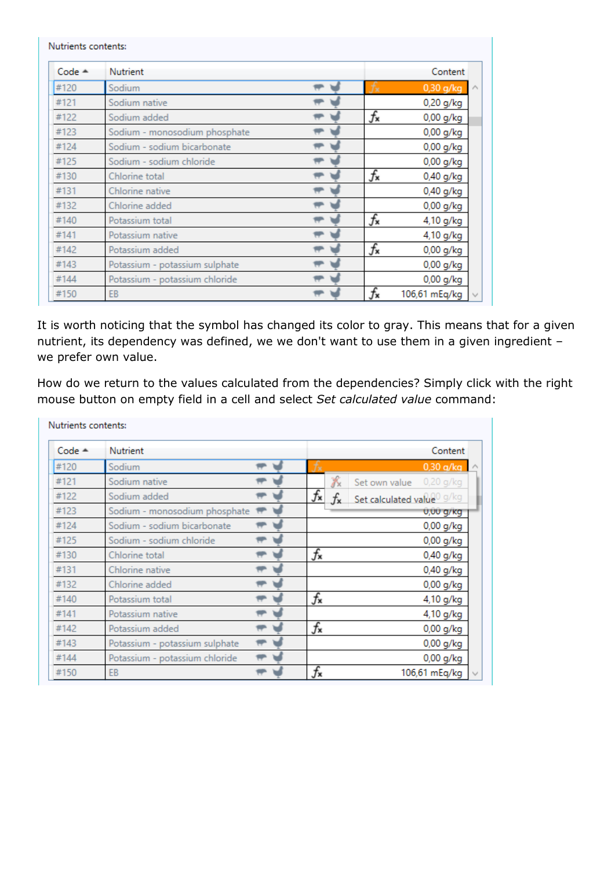| Nutrients contents: |                                |                  |               |
|---------------------|--------------------------------|------------------|---------------|
| $Code =$            | Nutrient                       |                  | Content       |
| #120                | Sodium                         | Ťx               | $0,30$ g/kg   |
| #121                | Sodium native                  |                  | 0,20 g/kg     |
| #122                | Sodium added                   | $f_{\mathbf{x}}$ | $0,00$ g/kg   |
| #123                | Sodium - monosodium phosphate  |                  | $0,00$ g/kg   |
| #124                | Sodium - sodium bicarbonate    |                  | $0,00$ g/kg   |
| #125                | Sodium - sodium chloride       |                  | $0,00$ g/kg   |
| #130                | Chlorine total                 | $f_{\mathbf{x}}$ | $0,40$ g/kg   |
| #131                | Chlorine native                |                  | $0,40$ g/kg   |
| #132                | Chlorine added                 |                  | $0,00$ g/kg   |
| #140                | Potassium total                | $f_{\mathbf{x}}$ | 4,10 g/kg     |
| #141                | Potassium native               |                  | 4,10 g/kg     |
| #142                | Potassium added                | $f_{\mathbf{x}}$ | 0,00 g/kg     |
| #143                | Potassium - potassium sulphate |                  | 0,00 g/kg     |
| #144                | Potassium - potassium chloride |                  | $0,00$ g/kg   |
| #150                | EB                             | f×               | 106,61 mEq/kg |

It is worth noticing that the symbol has changed its color to gray. This means that for a given nutrient, its dependency was defined, we we don't want to use them in a given ingredient – we prefer own value.

How do we return to the values calculated from the dependencies? Simply click with the right mouse button on empty field in a cell and select *Set calculated value* command:

| $Code -$ | Nutrient                       |  |                  |     |               | Content                                |
|----------|--------------------------------|--|------------------|-----|---------------|----------------------------------------|
| #120     | Sodium                         |  |                  |     |               | 0,30 g/kg $\triangle$                  |
| #121     | Sodium native                  |  |                  | Х   | Set own value | $0,20$ g/kg                            |
| #122     | Sodium added                   |  | $f_{\mathbf{x}}$ | fx. |               | Set calculated value <sup>0</sup> g/kg |
| #123     | Sodium - monosodium phosphate  |  |                  |     |               | 0,00 g/kg                              |
| #124     | Sodium - sodium bicarbonate    |  |                  |     |               | 0,00 g/kg                              |
| #125     | Sodium - sodium chloride       |  |                  |     |               | $0,00$ g/kg                            |
| #130     | Chlorine total                 |  | $f_{\mathbf{x}}$ |     |               | $0,40$ g/kg                            |
| #131     | Chlorine native                |  |                  |     |               | 0,40 g/kg                              |
| #132     | Chlorine added                 |  |                  |     |               | $0,00$ g/kg                            |
| #140     | Potassium total                |  | $f_{\mathbf{x}}$ |     |               | 4,10 g/kg                              |
| #141     | Potassium native               |  |                  |     |               | 4,10 g/kg                              |
| #142     | Potassium added                |  | $f_{\mathbf{x}}$ |     |               | $0,00$ g/kg                            |
| #143     | Potassium - potassium sulphate |  |                  |     |               | $0,00$ g/kg                            |
| #144     | Potassium - potassium chloride |  |                  |     |               | $0,00$ g/kg                            |
| #150     | EB                             |  | f×               |     |               | 106,61 mEq/kg                          |

 $\mathbf{r}$  and  $\mathbf{r}$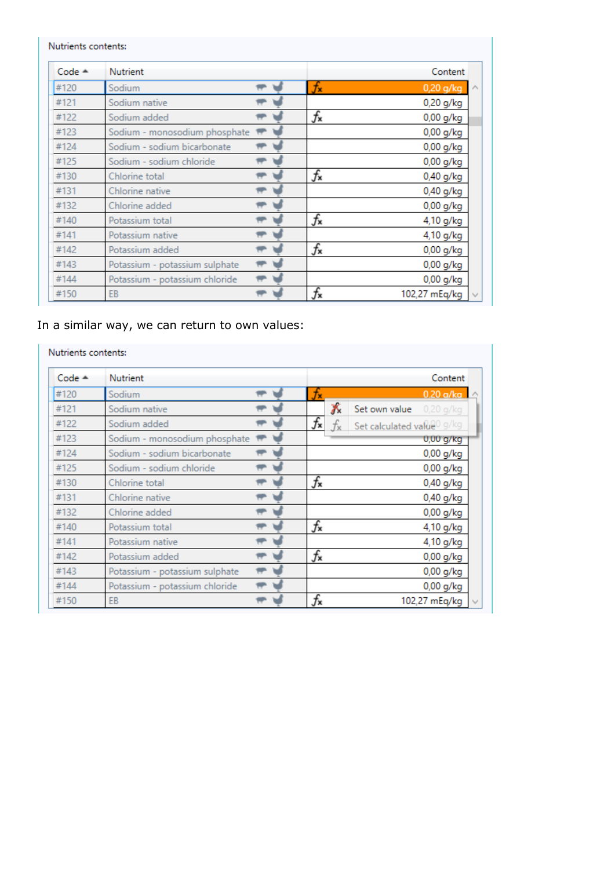| $Code -$ | Nutrient                       |                  | Content       |
|----------|--------------------------------|------------------|---------------|
| #120     | Sodium                         | $f_{\mathbf{x}}$ | $0,20$ g/kg   |
| #121     | Sodium native                  |                  | 0,20 g/kg     |
| #122     | Sodium added                   | $f_{\mathbf{x}}$ | 0,00 g/kg     |
| #123     | Sodium - monosodium phosphate  |                  | 0,00 g/kg     |
| #124     | Sodium - sodium bicarbonate    |                  | $0,00$ g/kg   |
| #125     | Sodium - sodium chloride       |                  | $0,00$ g/kg   |
| #130     | Chlorine total                 | $f_{\mathbf{x}}$ | $0,40$ g/kg   |
| #131     | Chlorine native                |                  | 0,40 g/kg     |
| #132     | Chlorine added                 |                  | $0,00$ g/kg   |
| #140     | Potassium total                | $f_{\mathbf{x}}$ | 4,10 g/kg     |
| #141     | Potassium native               |                  | 4,10 g/kg     |
| #142     | Potassium added                | $f_{\mathbf{x}}$ | 0,00 g/kg     |
| #143     | Potassium - potassium sulphate |                  | 0,00 g/kg     |
| #144     | Potassium - potassium chloride |                  | 0,00 g/kg     |
| #150     | EB                             | $f_{\mathbf{x}}$ | 102,27 mEq/kg |

## In a similar way, we can return to own values:

Nutrients contents:

| $Code -$ | <b>Nutrient</b>                |                  |             |                            | Content                 |  |
|----------|--------------------------------|------------------|-------------|----------------------------|-------------------------|--|
| #120     | Sodium                         | fx               |             |                            | $0.20$ a/ka $\triangle$ |  |
| #121     | Sodium native                  |                  | Х           | Set own value              | $0,20$ g/kg             |  |
| #122     | Sodium added                   | $f_{\mathbf{x}}$ | $f_{\rm x}$ | Set calculated value0 g/kg |                         |  |
| #123     | Sodium - monosodium phosphate  |                  |             |                            | $0,00$ g/kg             |  |
| #124     | Sodium - sodium bicarbonate    |                  |             |                            | $0,00$ g/kg             |  |
| #125     | Sodium - sodium chloride       |                  |             |                            | $0,00$ g/kg             |  |
| #130     | Chlorine total                 | $f_{\mathbf{x}}$ |             |                            | 0,40 g/kg               |  |
| #131     | Chlorine native                |                  |             |                            | $0,40$ g/kg             |  |
| #132     | Chlorine added                 |                  |             |                            | 0,00 g/kg               |  |
| #140     | Potassium total                | $f_{\mathbf{x}}$ |             |                            | 4,10 g/kg               |  |
| #141     | Potassium native               |                  |             |                            | 4,10 g/kg               |  |
| #142     | Potassium added                | $f_{\mathbf{x}}$ |             |                            | $0,00$ g/kg             |  |
| #143     | Potassium - potassium sulphate |                  |             |                            | $0,00$ g/kg             |  |
| #144     | Potassium - potassium chloride |                  |             |                            | 0,00 g/kg               |  |
| #150     | EB                             | $f_{\mathbf{x}}$ |             |                            | 102,27 mEq/kg           |  |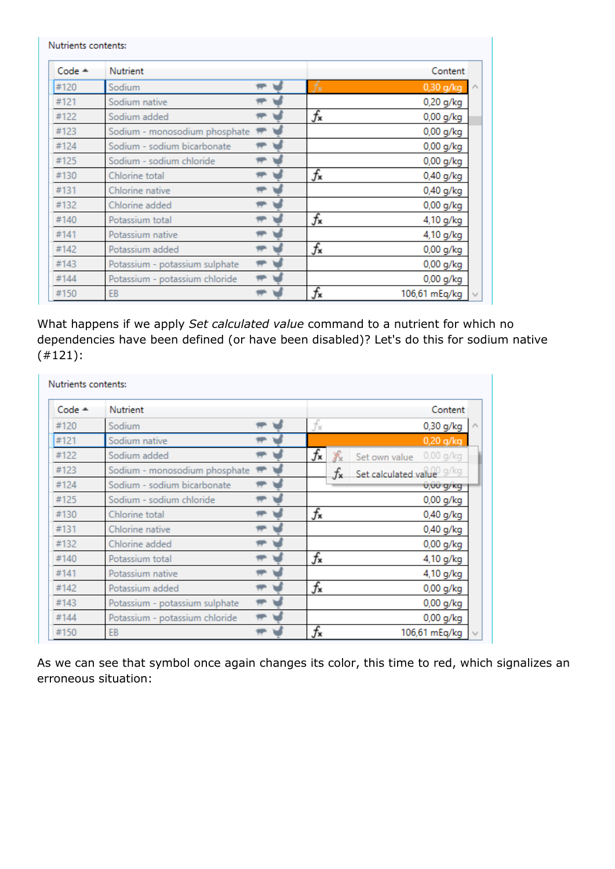| $Code -$ | Nutrient                       |                  | Content           |
|----------|--------------------------------|------------------|-------------------|
| #120     | Sodium                         | fx               | 0,30 g/kg $\land$ |
| #121     | Sodium native                  |                  | 0,20 g/kg         |
| #122     | Sodium added                   | $f_{\mathbf{x}}$ | 0,00 g/kg         |
| #123     | Sodium - monosodium phosphate  |                  | 0,00 g/kg         |
| #124     | Sodium - sodium bicarbonate    |                  | $0,00$ g/kg       |
| #125     | Sodium - sodium chloride       |                  | $0,00$ g/kg       |
| #130     | Chlorine total                 | $f_{\mathbf{x}}$ | $0,40$ g/kg       |
| #131     | Chlorine native                |                  | 0,40 g/kg         |
| #132     | Chlorine added                 |                  | 0,00 g/kg         |
| #140     | Potassium total                | $f_{\mathbf{x}}$ | 4,10 g/kg         |
| #141     | Potassium native               |                  | 4,10 g/kg         |
| #142     | Potassium added                | $f_{\mathbf{x}}$ | 0,00 g/kg         |
| #143     | Potassium - potassium sulphate |                  | $0,00$ g/kg       |
| #144     | Potassium - potassium chloride |                  | $0,00$ g/kg       |
| #150     | EB                             | f×               | 106,61 mEq/kg     |

What happens if we apply *Set calculated value* command to a nutrient for which no dependencies have been defined (or have been disabled)? Let's do this for sodium native (#121):

| $Code -$ | Nutrient                       |  |                  |    | Content                      |  |
|----------|--------------------------------|--|------------------|----|------------------------------|--|
| #120     | Sodium                         |  | fx               |    | 0,30 g/kg                    |  |
| #121     | Sodium native                  |  |                  |    | $0,20$ g/kg                  |  |
| #122     | Sodium added                   |  | $f_{\mathbf{x}}$ |    | $0,00$ g/kg<br>Set own value |  |
| #123     | Sodium - monosodium phosphate  |  |                  | fx | Set calculated value g/kg    |  |
| #124     | Sodium - sodium bicarbonate    |  |                  |    | 0,00 g/kg                    |  |
| #125     | Sodium - sodium chloride       |  |                  |    | $0,00$ g/kg                  |  |
| #130     | Chlorine total                 |  | $f_{\mathbf{x}}$ |    | $0,40$ g/kg                  |  |
| #131     | Chlorine native                |  |                  |    | $0,40$ g/kg                  |  |
| #132     | Chlorine added                 |  |                  |    | $0,00$ g/kg                  |  |
| #140     | Potassium total                |  | $f_{\mathbf{x}}$ |    | 4,10 g/kg                    |  |
| #141     | Potassium native               |  |                  |    | 4,10 g/kg                    |  |
| #142     | Potassium added                |  | $f_{\mathbf{x}}$ |    | 0,00 g/kg                    |  |
| #143     | Potassium - potassium sulphate |  |                  |    | $0,00$ g/kg                  |  |
| #144     | Potassium - potassium chloride |  |                  |    | $0,00$ g/kg                  |  |
| #150     | EB                             |  | f×               |    | 106,61 mEq/kg                |  |

As we can see that symbol once again changes its color, this time to red, which signalizes an erroneous situation: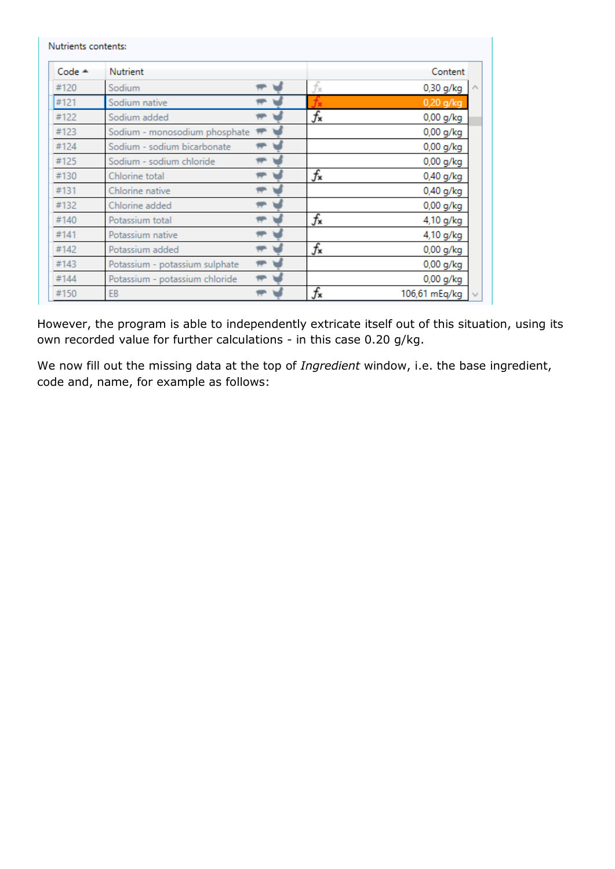| $Code -$ | Nutrient                       |                  | Content       |
|----------|--------------------------------|------------------|---------------|
|          |                                |                  |               |
| #120     | Sodium                         | fx               | 0,30 g/kg     |
| #121     | Sodium native                  |                  | $0,20$ g/kg   |
| #122     | Sodium added                   | $f_{\mathbf{x}}$ | $0,00$ g/kg   |
| #123     | Sodium - monosodium phosphate  |                  | $0,00$ g/kg   |
| #124     | Sodium - sodium bicarbonate    |                  | $0,00$ g/kg   |
| #125     | Sodium - sodium chloride       |                  | $0,00$ g/kg   |
| #130     | Chlorine total                 | $f_{\mathbf{x}}$ | $0,40$ g/kg   |
| #131     | Chlorine native                |                  | $0,40$ g/kg   |
| #132     | Chlorine added                 |                  | 0,00 g/kg     |
| #140     | Potassium total                | $f_{\mathbf{x}}$ | 4,10 g/kg     |
| #141     | Potassium native               |                  | 4,10 g/kg     |
| #142     | Potassium added                | $f_{\mathbf{x}}$ | $0,00$ g/kg   |
| #143     | Potassium - potassium sulphate |                  | $0,00$ g/kg   |
| #144     | Potassium - potassium chloride |                  | 0,00 g/kg     |
| #150     | EB                             | f×               | 106,61 mEg/kg |

However, the program is able to independently extricate itself out of this situation, using its own recorded value for further calculations - in this case 0.20 g/kg.

We now fill out the missing data at the top of *Ingredient* window, i.e. the base ingredient, code and, name, for example as follows: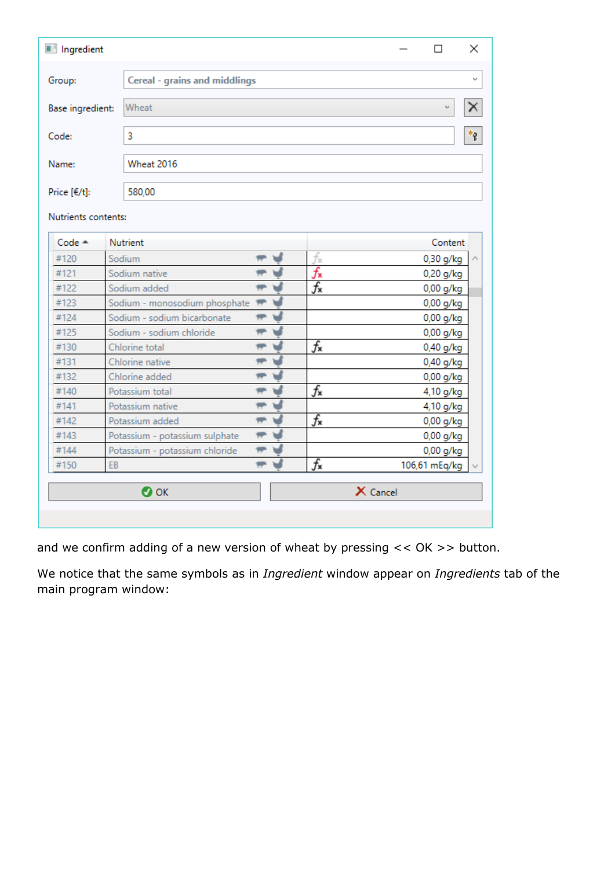| III Ingredient      |                                      |                            |                  |                 | п             | ×              |
|---------------------|--------------------------------------|----------------------------|------------------|-----------------|---------------|----------------|
| Group:              | <b>Cereal - grains and middlings</b> |                            |                  |                 |               |                |
|                     |                                      |                            |                  |                 |               |                |
| Base ingredient:    | Wheat<br>ν                           |                            |                  |                 |               |                |
| Code:               | 3                                    |                            |                  |                 |               | $\mathbf{f}^*$ |
| Name:               | <b>Wheat 2016</b>                    |                            |                  |                 |               |                |
|                     |                                      |                            |                  |                 |               |                |
| Price [€/t]:        | 580,00                               |                            |                  |                 |               |                |
| Nutrients contents: |                                      |                            |                  |                 |               |                |
| $Code -$            | Nutrient                             |                            |                  |                 | Content       |                |
| #120                | Sodium                               | ┯                          | fx               |                 | $0,30$ g/kg   |                |
| #121                | Sodium native                        | ₩                          | $f_{\mathbf{x}}$ |                 | 0,20 g/kg     |                |
| #122                | Sodium added                         | ⇔                          | $f_{\mathbf{x}}$ |                 | $0,00$ g/kg   |                |
| #123                | Sodium - monosodium phosphate        | v                          |                  |                 | $0,00$ g/kg   |                |
| #124                | Sodium - sodium bicarbonate          | ┯                          |                  |                 | $0,00$ g/kg   |                |
| #125                | Sodium - sodium chloride             | ┯<br>V                     |                  |                 | $0,00$ g/kg   |                |
| #130                | Chlorine total                       | <sub>₩</sub>               | $f_{\mathbf{x}}$ |                 | 0,40 g/kg     |                |
| #131                | Chlorine native                      | ₩                          |                  |                 | 0,40 g/kg     |                |
| #132                | Chlorine added                       | ┯                          |                  |                 | 0,00 g/kg     |                |
| #140                | Potassium total                      | ₩                          | $f_{\mathbf{x}}$ |                 | 4,10 g/kg     |                |
| #141                | Potassium native                     | ⊌<br>₩                     |                  |                 | 4,10 g/kg     |                |
| #142                | Potassium added                      | $\blacktriangleright$<br>₩ | $f_{\mathbf{x}}$ |                 | 0,00 g/kg     |                |
| #143                | Potassium - potassium sulphate       | ᆔ                          |                  |                 | 0,00 g/kg     |                |
| #144                | Potassium - potassium chloride       | $\overline{\phantom{a}}$   |                  |                 | $0,00$ g/kg   |                |
| #150                | EB                                   | ₩                          | $f_{\mathbf{x}}$ |                 | 106,61 mEq/kg |                |
|                     | $\bullet$ ok                         |                            |                  | $\times$ Cancel |               |                |

and we confirm adding of a new version of wheat by pressing << OK >> button.

We notice that the same symbols as in *Ingredient* window appear on *Ingredients* tab of the main program window: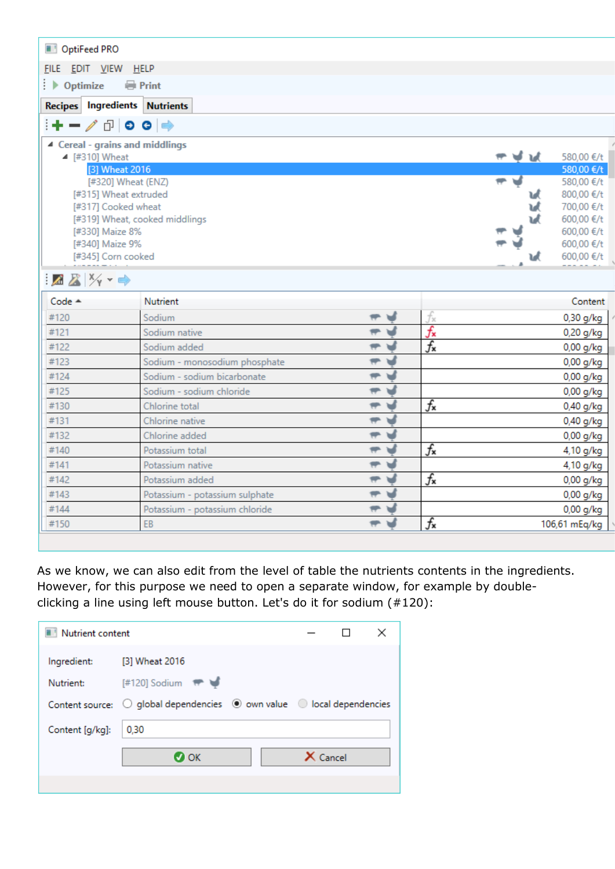| OptiFeed PRO                                       |                                |                                |                  |           |                          |
|----------------------------------------------------|--------------------------------|--------------------------------|------------------|-----------|--------------------------|
|                                                    |                                |                                |                  |           |                          |
| FILE EDIT VIEW HELP                                |                                |                                |                  |           |                          |
| $\rightarrow$ Optimize                             | Print                          |                                |                  |           |                          |
| <b>Recipes Ingredients Nutrients</b>               |                                |                                |                  |           |                          |
| ∔−∕ ∂∣⊙ ⊙∣⇒                                        |                                |                                |                  |           |                          |
| ▲ Cereal - grains and middlings                    |                                |                                |                  |           |                          |
| ▲ [#310] Wheat                                     |                                |                                |                  | ਜਾਂ ਦੀ ਘੱ | 580,00 €/t               |
|                                                    | [3] Wheat 2016                 |                                |                  |           | 580,00 €/t               |
|                                                    | [#320] Wheat (ENZ)             |                                |                  |           | 580,00 €/t               |
|                                                    | [#315] Wheat extruded          |                                |                  |           | 800,00 €/t               |
| [#317] Cooked wheat                                |                                |                                |                  |           | 700,00 €/t               |
| [#330] Maize 8%                                    | [#319] Wheat, cooked middlings |                                |                  |           | 600,00 €/t<br>600,00 €/t |
| [#340] Maize 9%                                    |                                |                                |                  |           | 600,00 €/t               |
| [#345] Corn cooked                                 |                                |                                |                  | υł        | 600,00 €/t               |
|                                                    |                                |                                |                  |           |                          |
| $\mathbb{Z} \mathbb{Z}$ $\mathbb{Z}$ $\rightarrow$ |                                |                                |                  |           |                          |
| Code $\triangle$                                   | <b>Nutrient</b>                |                                |                  |           | Content                  |
| #120                                               | Sodium                         | ₩                              | fx               |           | $0,30$ g/kg              |
| #121                                               | Sodium native                  | ᆔ                              | $f_{\mathbf{x}}$ |           | $0,20$ g/kg              |
| #122                                               | Sodium added                   | ᆔᆑ                             | $f_{\mathbf{x}}$ |           | $0,00$ g/kg              |
| #123                                               | Sodium - monosodium phosphate  | ᆔᆑ                             |                  |           | $0,00$ g/kg              |
| #124                                               | Sodium - sodium bicarbonate    | ᆔ                              |                  |           | $0,00$ g/kg              |
| #125                                               | Sodium - sodium chloride       | <u>ਜਾ ਚੰ</u>                   |                  |           | $0,00$ g/kg              |
| #130                                               | Chlorine total                 | ᆔᆑ                             | $f_{\mathbf{x}}$ |           | $0,40$ g/kg              |
| #131                                               | Chlorine native                | ᆔᆑ                             |                  |           | $0,40$ g/kg              |
| #132                                               | Chlorine added                 | ᆔ                              |                  |           | 0,00 g/kg                |
| #140                                               | Potassium total                | $\overline{\mathfrak{m}}$<br>w | $f_{\mathbf{x}}$ |           | 4,10 g/kg                |
| #141                                               | Potassium native               | ᆔ                              |                  |           | 4,10 g/kg                |
| #142                                               | Potassium added                | ᆔᆑ                             | $f_{\mathbf{x}}$ |           | 0,00 g/kg                |
| #143                                               | Potassium - potassium sulphate | ㅠ 남                            |                  |           | 0,00 g/kg                |
| #144                                               | Potassium - potassium chloride | ᆔᆑ                             |                  |           | $0,00$ g/kg              |
| #150                                               | EB                             | ਜਾ ਖ                           | $f_{\mathbf{x}}$ |           | 106,61 mEq/kg            |
|                                                    |                                |                                |                  |           |                          |

As we know, we can also edit from the level of table the nutrients contents in the ingredients. However, for this purpose we need to open a separate window, for example by doubleclicking a line using left mouse button. Let's do it for sodium (#120):

| Nutrient content |                                                                                                         |            | × |
|------------------|---------------------------------------------------------------------------------------------------------|------------|---|
| Ingredient:      | [3] Wheat 2016                                                                                          |            |   |
| Nutrient:        | $[#120]$ Sodium $#$                                                                                     |            |   |
|                  | Content source: $\bigcirc$ global dependencies $\circledast$ own value $\circledast$ local dependencies |            |   |
| Content [g/kg]:  | 0,30                                                                                                    |            |   |
|                  | $\boldsymbol{\sigma}$ ok                                                                                | $X$ Cancel |   |
|                  |                                                                                                         |            |   |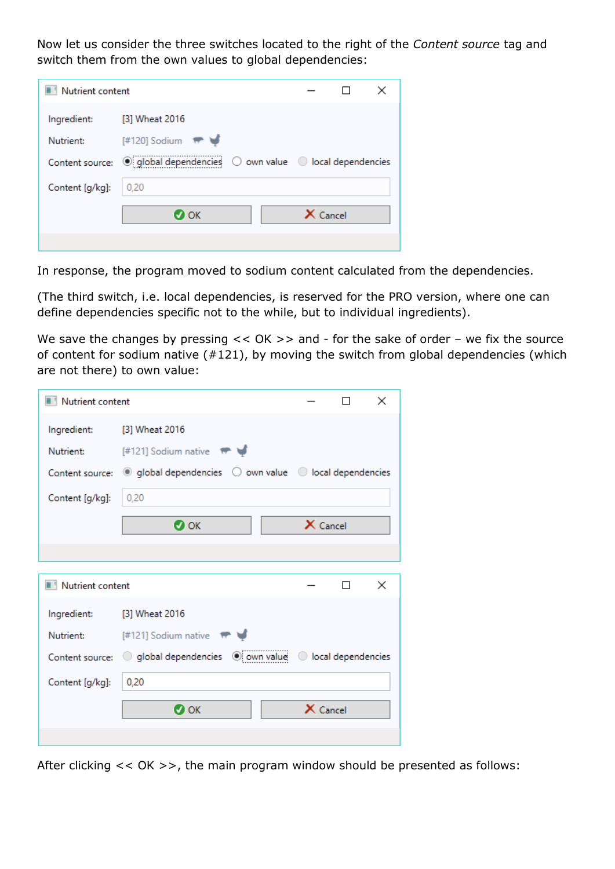Now let us consider the three switches located to the right of the *Content source* tag and switch them from the own values to global dependencies:

| Nutrient content |                     |            |  |
|------------------|---------------------|------------|--|
| Ingredient:      | [3] Wheat 2016      |            |  |
| Nutrient:        | $[#120]$ Sodium $#$ |            |  |
|                  |                     |            |  |
| Content [g/kg]:  | 0,20                |            |  |
|                  | О ОК                | $X$ Cancel |  |
|                  |                     |            |  |

In response, the program moved to sodium content calculated from the dependencies.

(The third switch, i.e. local dependencies, is reserved for the PRO version, where one can define dependencies specific not to the while, but to individual ingredients).

We save the changes by pressing  $<< OK$  >> and - for the sake of order – we fix the source of content for sodium native (#121), by moving the switch from global dependencies (which are not there) to own value:

| Nutrient content |                                                                                                   |            |   | ×        |
|------------------|---------------------------------------------------------------------------------------------------|------------|---|----------|
| Ingredient:      | [3] Wheat 2016                                                                                    |            |   |          |
| Nutrient:        | [#121] Sodium native $\qquad$ ₩                                                                   |            |   |          |
|                  | Content source: $\bigcirc$ global dependencies $\bigcirc$ own value $\bigcirc$ local dependencies |            |   |          |
| Content [g/kg]:  | 0,20                                                                                              |            |   |          |
|                  | $\bullet$ ok                                                                                      | $X$ Cancel |   |          |
|                  |                                                                                                   |            |   |          |
|                  |                                                                                                   |            |   |          |
| Nutrient content |                                                                                                   |            | п | $\times$ |
| Ingredient:      | [3] Wheat 2016                                                                                    |            |   |          |
| Nutrient:        | $[#121]$ Sodium native $\qquad \qquad \blacktriangleright \qquad \blacktriangleright$             |            |   |          |
|                  | Content source: 0 global dependencies 0 own value 0 local dependencies                            |            |   |          |
| Content [g/kg]:  | 0,20                                                                                              |            |   |          |
|                  | $\bullet$ ok                                                                                      | $X$ Cancel |   |          |

After clicking << OK >>, the main program window should be presented as follows: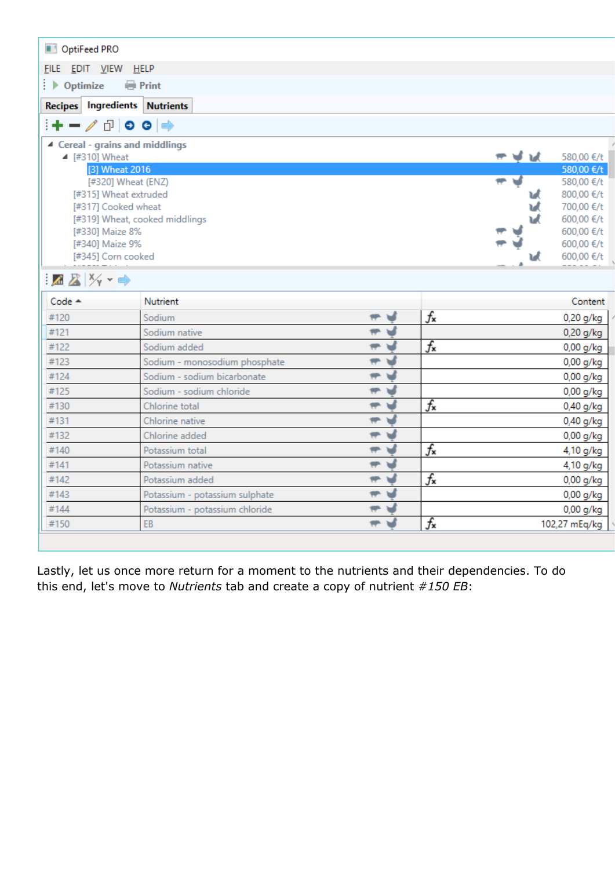| OptiFeed PRO                                       |                                |                              |                  |                  |                          |
|----------------------------------------------------|--------------------------------|------------------------------|------------------|------------------|--------------------------|
|                                                    |                                |                              |                  |                  |                          |
| FILE EDIT VIEW HELP                                |                                |                              |                  |                  |                          |
| $\rightarrow$ Optimize                             | <b>Print</b>                   |                              |                  |                  |                          |
| Recipes Ingredients Nutrients                      |                                |                              |                  |                  |                          |
| ∔−∕∂∣ㅇㅇ│⇒                                          |                                |                              |                  |                  |                          |
| ▲ Cereal - grains and middlings                    |                                |                              |                  |                  |                          |
| ▲ [#310] Wheat                                     |                                |                              |                  | ਜਾਂ <b>ਦੱ</b> ਸ਼ | 580,00 €/t               |
| [3] Wheat 2016                                     |                                |                              |                  |                  | 580,00 €/t               |
|                                                    | [#320] Wheat (ENZ)             |                              |                  |                  | 580,00 €/t               |
| [#315] Wheat extruded                              |                                |                              |                  |                  | 800,00 €/t               |
| [#317] Cooked wheat                                |                                |                              |                  |                  | 700,00 €/t<br>600,00 €/t |
| [#330] Maize 8%                                    | [#319] Wheat, cooked middlings |                              |                  |                  | 600,00 €/t               |
| [#340] Maize 9%                                    |                                |                              |                  |                  | 600,00 €/t               |
| [#345] Corn cooked                                 |                                |                              |                  | ιđ               | 600,00 €/t               |
| $\mathbb{Z} \mathbb{Z}$ $\mathbb{Z}$ $\rightarrow$ |                                |                              |                  |                  |                          |
| Code $\triangle$                                   | <b>Nutrient</b>                |                              |                  |                  | Content                  |
| #120                                               | Sodium                         | ┯                            | $f_{\mathbf{x}}$ |                  | $0,20$ g/kg              |
| #121                                               | Sodium native                  | ᆔ                            |                  |                  | $0,20$ g/kg              |
| #122                                               | Sodium added                   | ᆔ                            | $f_{\mathbf{x}}$ |                  | 0,00 g/kg                |
| #123                                               | Sodium - monosodium phosphate  | ᆔᆑ                           |                  |                  | 0,00 g/kg                |
| #124                                               | Sodium - sodium bicarbonate    | $\overline{\mathbf{r}}$<br>v |                  |                  | $0,00$ g/kg              |
| #125                                               | Sodium - sodium chloride       | ᆔᆑ                           |                  |                  | $0,00$ g/kg              |
| #130                                               | Chlorine total                 | ᆔᆑ                           | $f_{\mathbf{x}}$ |                  | $0,40$ g/kg              |
| #131                                               | Chlorine native                | ᆔᆑ                           |                  |                  | $0,40$ g/kg              |
| #132                                               | Chlorine added                 | ᆔᆑ                           |                  |                  | $0,00$ g/kg              |
| #140                                               | Potassium total                | $\overline{\mathbf{r}}$<br>w | $f_{\mathbf{x}}$ |                  | 4,10 g/kg                |
| #141                                               | Potassium native               | $\overline{\mathbf{r}}$<br>⊌ |                  |                  | 4,10 g/kg                |
| #142                                               | Potassium added                | ᆔᆑ                           | $f_{\mathbf{x}}$ |                  | $0,00$ g/kg              |
| #143                                               | Potassium - potassium sulphate | ㅠ님                           |                  |                  | $0,00$ g/kg              |
| #144                                               | Potassium - potassium chloride | ᆔᆑ                           |                  |                  | $0,00$ g/kg              |
| #150                                               | EB                             | ਜਾ ਖ                         | $f_{\mathbf{x}}$ |                  | 102,27 mEq/kg            |
|                                                    |                                |                              |                  |                  |                          |

Lastly, let us once more return for a moment to the nutrients and their dependencies. To do this end, let's move to *Nutrients* tab and create a copy of nutrient *#150 EB*: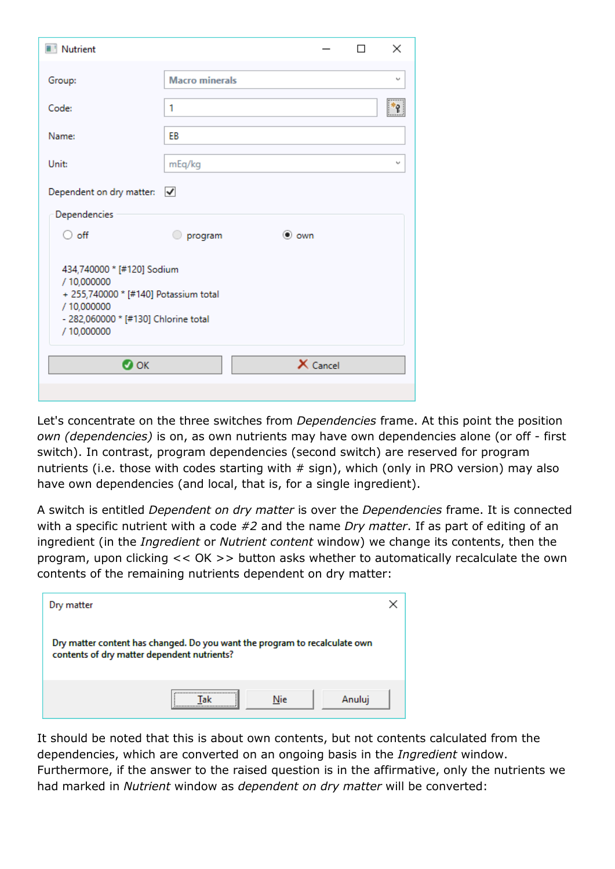| <b>Nutrient</b>                                                                                                                                                          |                       |               | п | $\times$ |
|--------------------------------------------------------------------------------------------------------------------------------------------------------------------------|-----------------------|---------------|---|----------|
| Group:                                                                                                                                                                   | <b>Macro minerals</b> |               |   | $\sim$   |
| Code:                                                                                                                                                                    | 1                     |               |   |          |
| Name:                                                                                                                                                                    | EB                    |               |   |          |
| Unit:                                                                                                                                                                    | mEq/kg                |               |   | v        |
| Dependent on dry matter: $\sqrt{\phantom{a}}$                                                                                                                            |                       |               |   |          |
| Dependencies                                                                                                                                                             |                       |               |   |          |
| $\bigcirc$ off                                                                                                                                                           | program               | $\bullet$ own |   |          |
| 434,740000 * [#120] Sodium<br>/ 10,000000<br>+ 255,740000 * [#140] Potassium total<br>/ 10,000000<br>- 282,060000 * [#130] Chlorine total<br>/ 10,000000<br>$\bullet$ ok |                       | X Cancel      |   |          |

Let's concentrate on the three switches from *Dependencies* frame. At this point the position *own (dependencies)* is on, as own nutrients may have own dependencies alone (or off - first switch). In contrast, program dependencies (second switch) are reserved for program nutrients (i.e. those with codes starting with  $#$  sign), which (only in PRO version) may also have own dependencies (and local, that is, for a single ingredient).

A switch is entitled *Dependent on dry matter* is over the *Dependencies* frame. It is connected with a specific nutrient with a code *#2* and the name *Dry matter*. If as part of editing of an ingredient (in the *Ingredient* or *Nutrient content* window) we change its contents, then the program, upon clicking << OK >> button asks whether to automatically recalculate the own contents of the remaining nutrients dependent on dry matter:

| Dry matter                                                                                                                |         |        |
|---------------------------------------------------------------------------------------------------------------------------|---------|--------|
| Dry matter content has changed. Do you want the program to recalculate own<br>contents of dry matter dependent nutrients? |         |        |
|                                                                                                                           | <br>Nie | Anuluj |

It should be noted that this is about own contents, but not contents calculated from the dependencies, which are converted on an ongoing basis in the *Ingredient* window. Furthermore, if the answer to the raised question is in the affirmative, only the nutrients we had marked in *Nutrient* window as *dependent on dry matter* will be converted: